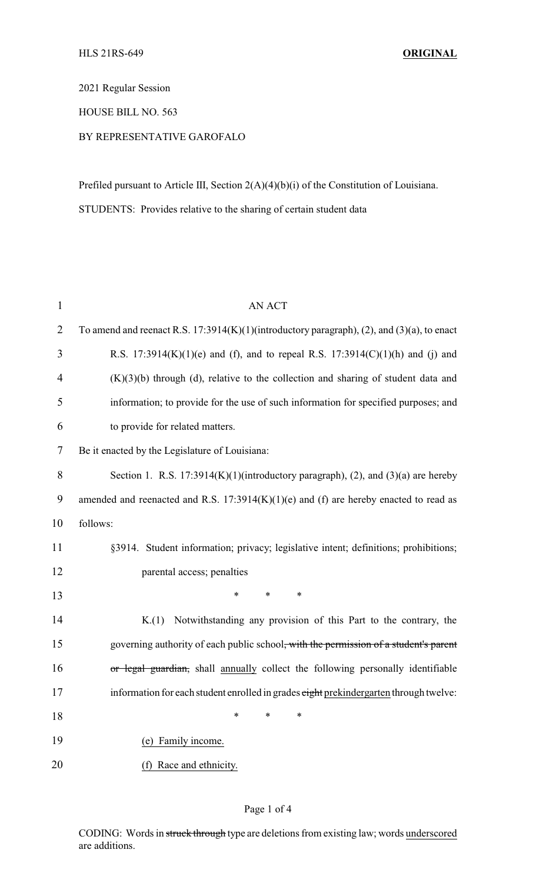2021 Regular Session

HOUSE BILL NO. 563

## BY REPRESENTATIVE GAROFALO

Prefiled pursuant to Article III, Section 2(A)(4)(b)(i) of the Constitution of Louisiana. STUDENTS: Provides relative to the sharing of certain student data

| $\mathbf{1}$   | <b>AN ACT</b>                                                                                 |
|----------------|-----------------------------------------------------------------------------------------------|
| $\overline{2}$ | To amend and reenact R.S. $17:3914(K)(1)($ introductory paragraph), (2), and (3)(a), to enact |
| 3              | R.S. 17:3914(K)(1)(e) and (f), and to repeal R.S. 17:3914(C)(1)(h) and (j) and                |
| 4              | $(K)(3)(b)$ through (d), relative to the collection and sharing of student data and           |
| 5              | information; to provide for the use of such information for specified purposes; and           |
| 6              | to provide for related matters.                                                               |
| 7              | Be it enacted by the Legislature of Louisiana:                                                |
| $8\,$          | Section 1. R.S. 17:3914(K)(1)(introductory paragraph), (2), and (3)(a) are hereby             |
| 9              | amended and reenacted and R.S. $17:3914(K)(1)(e)$ and (f) are hereby enacted to read as       |
| 10             | follows:                                                                                      |
| 11             | §3914. Student information; privacy; legislative intent; definitions; prohibitions;           |
| 12             | parental access; penalties                                                                    |
| 13             | *<br>*<br>*                                                                                   |
| 14             | Notwithstanding any provision of this Part to the contrary, the<br>K(1)                       |
| 15             | governing authority of each public school, with the permission of a student's parent          |
| 16             | or legal guardian, shall annually collect the following personally identifiable               |
| 17             | information for each student enrolled in grades eight prekindergarten through twelve:         |
| 18             | ∗<br>*<br>∗                                                                                   |
| 19             | (e) Family income.                                                                            |
| 20             | (f) Race and ethnicity.                                                                       |

## Page 1 of 4

CODING: Words in struck through type are deletions from existing law; words underscored are additions.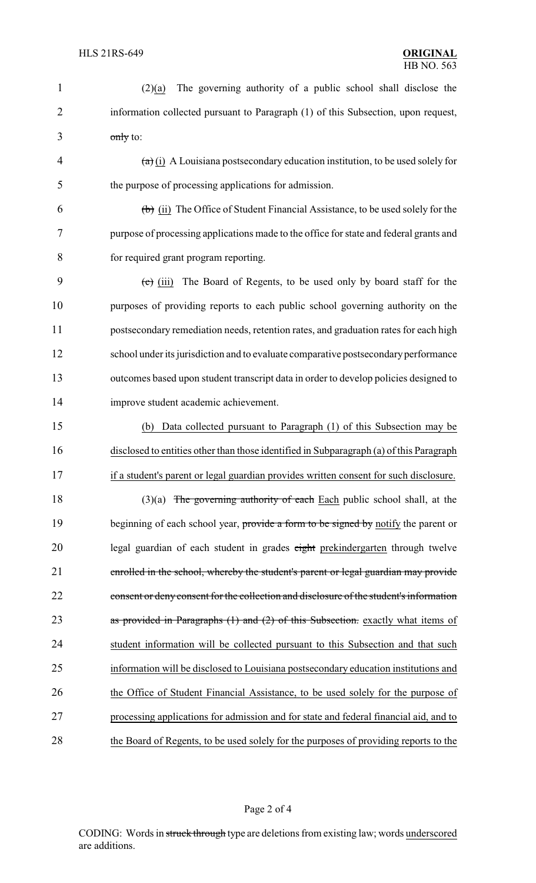| $\mathbf{1}$   | The governing authority of a public school shall disclose the<br>(2)(a)                               |
|----------------|-------------------------------------------------------------------------------------------------------|
| $\overline{2}$ | information collected pursuant to Paragraph (1) of this Subsection, upon request,                     |
| 3              | $\frac{0}{\text{only}}$ to:                                                                           |
| $\overline{4}$ | $\left(\frac{a}{b}\right)$ (i) A Louisiana postsecondary education institution, to be used solely for |
| 5              | the purpose of processing applications for admission.                                                 |
| 6              | $\left(\frac{b}{c}\right)$ (ii) The Office of Student Financial Assistance, to be used solely for the |
| 7              | purpose of processing applications made to the office for state and federal grants and                |
| 8              | for required grant program reporting.                                                                 |
| 9              | The Board of Regents, to be used only by board staff for the<br>$(e)$ (iii)                           |
| 10             | purposes of providing reports to each public school governing authority on the                        |
| 11             | postsecondary remediation needs, retention rates, and graduation rates for each high                  |
| 12             | school under its jurisdiction and to evaluate comparative postsecondary performance                   |
| 13             | outcomes based upon student transcript data in order to develop policies designed to                  |
| 14             | improve student academic achievement.                                                                 |
| 15             | (b) Data collected pursuant to Paragraph (1) of this Subsection may be                                |
| 16             | disclosed to entities other than those identified in Subparagraph (a) of this Paragraph               |
| 17             | if a student's parent or legal guardian provides written consent for such disclosure.                 |
| 18             | The governing authority of each Each public school shall, at the<br>(3)(a)                            |
| 19             | beginning of each school year, provide a form to be signed by notify the parent or                    |
| 20             | legal guardian of each student in grades eight prekindergarten through twelve                         |
| 21             | enrolled in the school, whereby the student's parent or legal guardian may provide                    |
| 22             | consent or deny consent for the collection and disclosure of the student's information                |
| 23             | as provided in Paragraphs $(1)$ and $(2)$ of this Subsection. exactly what items of                   |
| 24             | student information will be collected pursuant to this Subsection and that such                       |
| 25             | information will be disclosed to Louisiana postsecondary education institutions and                   |
| 26             | the Office of Student Financial Assistance, to be used solely for the purpose of                      |
| 27             | processing applications for admission and for state and federal financial aid, and to                 |
| 28             | the Board of Regents, to be used solely for the purposes of providing reports to the                  |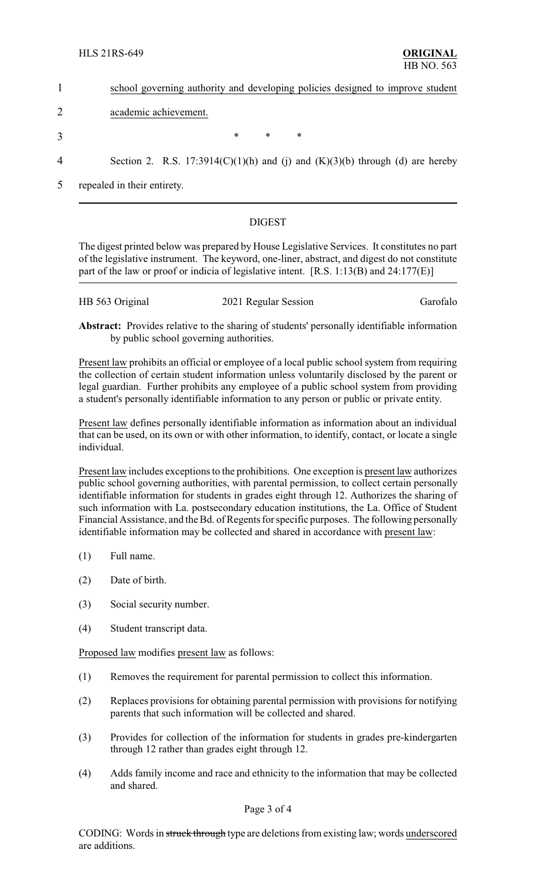|                | school governing authority and developing policies designed to improve student    |  |        |   |        |  |  |
|----------------|-----------------------------------------------------------------------------------|--|--------|---|--------|--|--|
|                | academic achievement.                                                             |  |        |   |        |  |  |
| 3              |                                                                                   |  | $\ast$ | ∗ | $\ast$ |  |  |
| $\overline{4}$ | Section 2. R.S. $17:3914(C)(1)(h)$ and (j) and $(K)(3)(b)$ through (d) are hereby |  |        |   |        |  |  |

5 repealed in their entirety.

## DIGEST

The digest printed below was prepared by House Legislative Services. It constitutes no part of the legislative instrument. The keyword, one-liner, abstract, and digest do not constitute part of the law or proof or indicia of legislative intent. [R.S. 1:13(B) and 24:177(E)]

| HB 563 Original | 2021 Regular Session | Garofalo |
|-----------------|----------------------|----------|
|                 |                      |          |

**Abstract:** Provides relative to the sharing of students' personally identifiable information by public school governing authorities.

Present law prohibits an official or employee of a local public school system from requiring the collection of certain student information unless voluntarily disclosed by the parent or legal guardian. Further prohibits any employee of a public school system from providing a student's personally identifiable information to any person or public or private entity.

Present law defines personally identifiable information as information about an individual that can be used, on its own or with other information, to identify, contact, or locate a single individual.

Present law includes exceptions to the prohibitions. One exception is present law authorizes public school governing authorities, with parental permission, to collect certain personally identifiable information for students in grades eight through 12. Authorizes the sharing of such information with La. postsecondary education institutions, the La. Office of Student Financial Assistance, and the Bd. of Regents for specific purposes. The following personally identifiable information may be collected and shared in accordance with present law:

- (1) Full name.
- (2) Date of birth.
- (3) Social security number.
- (4) Student transcript data.

Proposed law modifies present law as follows:

- (1) Removes the requirement for parental permission to collect this information.
- (2) Replaces provisions for obtaining parental permission with provisions for notifying parents that such information will be collected and shared.
- (3) Provides for collection of the information for students in grades pre-kindergarten through 12 rather than grades eight through 12.
- (4) Adds family income and race and ethnicity to the information that may be collected and shared.